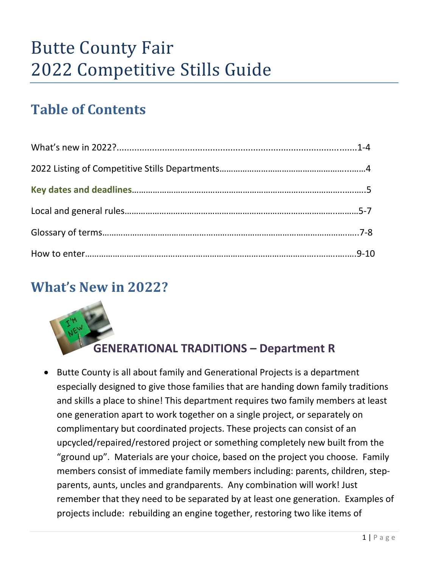# Butte County Fair 2022 Competitive Stills Guide

# **Table of Contents**

# **What's New in 2022?**



### **[G](https://www.higheredjobs.com/Articles/articleDisplay.cfm?ID=1022)ENERATIONAL TRADITIONS – Department R**

• Butte County is all about family and Generational Projects is a department es[pecially](https://creativecommons.org/licenses/by-nd/3.0/) designed to give those families that are handing down family traditions and skills a place to shine! This department requires two family members at least one generation apart to work together on a single project, or separately on complimentary but coordinated projects. These projects can consist of an upcycled/repaired/restored project or something completely new built from the "ground up". Materials are your choice, based on the project you choose. Family members consist of immediate family members including: parents, children, stepparents, aunts, uncles and grandparents. Any combination will work! Just remember that they need to be separated by at least one generation. Examples of projects include: rebuilding an engine together, restoring two like items of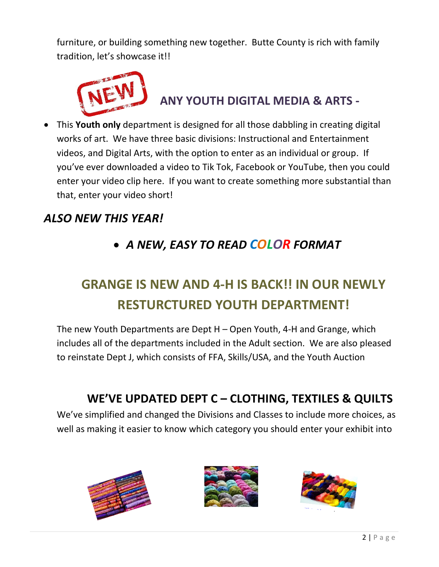furniture, or building something new together. Butte County is rich with family tradition, let's showcase it!!



### **ANY YOUTH DIGITAL MEDIA & ARTS -**

• This **Youth only** department is designed for all those dabbling in creating digital works of art. We have three basic divisions: Instructional and Entertainment videos, and Digital Arts, with the option to enter as an individual or group. If you've ever downloaded a video to Tik Tok, Facebook or YouTube, then you could enter your video clip here. If you want to create something more substantial than that, enter your video short!

### *ALSO NEW THIS YEAR!*

### • *A NEW, EASY TO READ COLOR FORMAT*

# **GRANGE IS NEW AND 4-H IS BACK!! IN OUR NEWLY RESTURCTURED YOUTH DEPARTMENT!**

The new Youth Departments are Dept H – Open Youth, 4-H and Grange, which includes all of the departments included in the Adult section. We are also pleased to reinstate Dept J, which consists of FFA, Skills/USA, and the Youth Auction

### **WE'VE UPDATED DEPT C – CLOTHING, TEXTILES & QUILTS**

We've simplified and changed the Divisions and Classes to include more choices, as well as making it easier to know which category you should enter your exhibit into





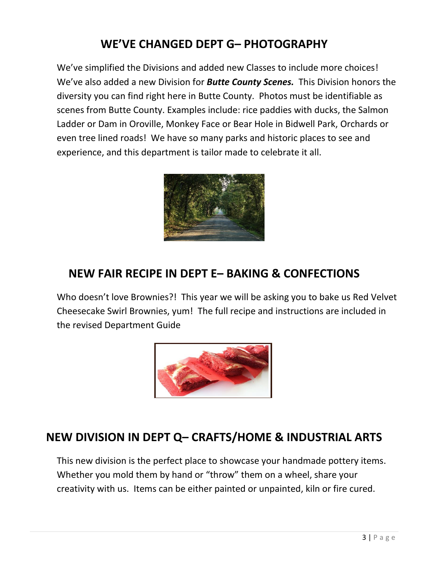### **WE'VE CHANGED DEPT G– PHOTOGRAPHY**

We've simplified the Divisions and added new Classes to include more choices! We've also added a new Division for *Butte County Scenes.* This Division honors the diversity you can find right here in Butte County. Photos must be identifiable as scenes from Butte County. Examples include: rice paddies with ducks, the Salmon Ladder or Dam in Oroville, Monkey Face or Bear Hole in Bidwell Park, Orchards or even tree lined roads! We have so many parks and historic places to see and experience, and this department is tailor made to celebrate it all.



### **NEW FAIR RECIPE IN DEPT E– BAKING & CONFECTIONS**

Who doesn't love Brownies?! This year we will be asking you to bake us Red Velvet Cheesecake Swirl Brownies, yum! The full recipe and instructions are included in the revised Department Guide



### **NEW DIVISION IN DEPT Q– CRAFTS/HOME & INDUSTRIAL ARTS**

This new division is the perfect place to showcase your handmade pottery items. Whether you mold them by hand or "throw" them on a wheel, share your creativity with us. Items can be either painted or unpainted, kiln or fire cured.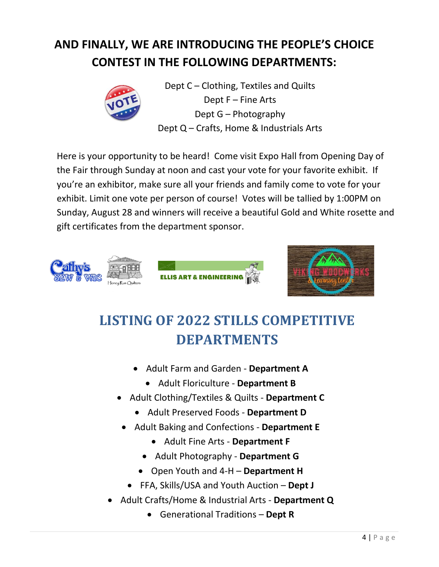# **AND FINALLY, WE ARE INTRODUCING THE PEOPLE'S CHOICE CONTEST IN THE FOLLOWING DEPARTMENTS:**



Dept C – Clothing, Textiles and Quilts Dept F – Fine Arts Dept G – Photography Dept Q – Crafts, Home & Industrials Arts

Here is your opportunity to be heard! Come visit Expo Hall from Opening Day of the Fair through Sunday at noon and cast your vote for your favorite exhibit. If you're an exhibitor, make sure all your friends and family come to vote for your exhibit. Limit one vote per person of course! Votes will be tallied by 1:00PM on Sunday, August 28 and winners will receive a beautiful Gold and White rosette and gift certificates from the department sponsor.





# **LISTING OF 2022 STILLS COMPETITIVE DEPARTMENTS**

- Adult Farm and Garden **Department A**
	- Adult Floriculture **Department B**
- Adult Clothing/Textiles & Quilts **Department C**
	- Adult Preserved Foods **Department D**
- Adult Baking and Confections **Department E**
	- Adult Fine Arts **Department F**
	- Adult Photography **Department G**
	- Open Youth and 4-H **Department H**
	- FFA, Skills/USA and Youth Auction **Dept J**
- Adult Crafts/Home & Industrial Arts **Department Q**
	- Generational Traditions **Dept R**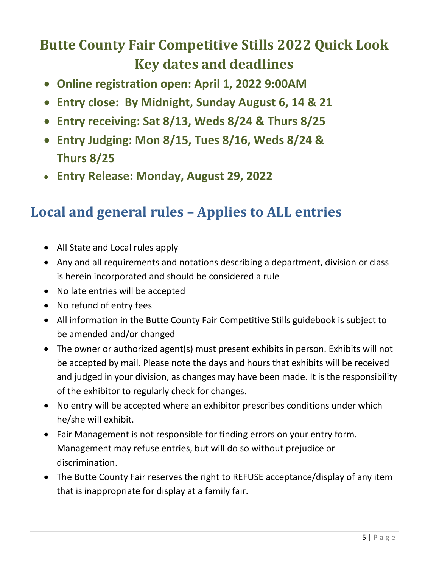# **Butte County Fair Competitive Stills 2022 Quick Look Key dates and deadlines**

- **Online registration open: April 1, 2022 9:00AM**
- **Entry close: By Midnight, Sunday August 6, 14 & 21**
- **Entry receiving: Sat 8/13, Weds 8/24 & Thurs 8/25**
- **Entry Judging: Mon 8/15, Tues 8/16, Weds 8/24 & Thurs 8/25**
- **Entry Release: Monday, August 29, 2022**

## **Local and general rules – Applies to ALL entries**

- All State and Local rules apply
- Any and all requirements and notations describing a department, division or class is herein incorporated and should be considered a rule
- No late entries will be accepted
- No refund of entry fees
- All information in the Butte County Fair Competitive Stills guidebook is subject to be amended and/or changed
- The owner or authorized agent(s) must present exhibits in person. Exhibits will not be accepted by mail. Please note the days and hours that exhibits will be received and judged in your division, as changes may have been made. It is the responsibility of the exhibitor to regularly check for changes.
- No entry will be accepted where an exhibitor prescribes conditions under which he/she will exhibit.
- Fair Management is not responsible for finding errors on your entry form. Management may refuse entries, but will do so without prejudice or discrimination.
- The Butte County Fair reserves the right to REFUSE acceptance/display of any item that is inappropriate for display at a family fair.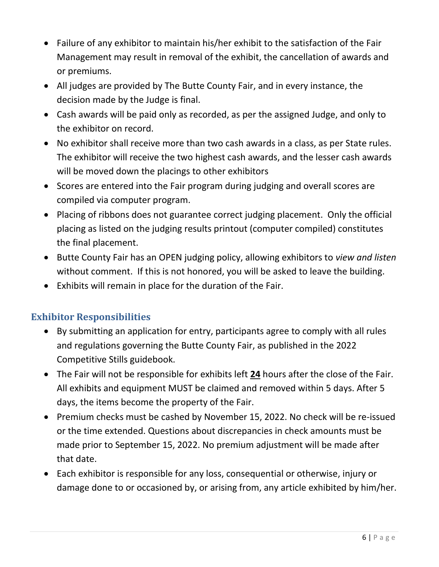- Failure of any exhibitor to maintain his/her exhibit to the satisfaction of the Fair Management may result in removal of the exhibit, the cancellation of awards and or premiums.
- All judges are provided by The Butte County Fair, and in every instance, the decision made by the Judge is final.
- Cash awards will be paid only as recorded, as per the assigned Judge, and only to the exhibitor on record.
- No exhibitor shall receive more than two cash awards in a class, as per State rules. The exhibitor will receive the two highest cash awards, and the lesser cash awards will be moved down the placings to other exhibitors
- Scores are entered into the Fair program during judging and overall scores are compiled via computer program.
- Placing of ribbons does not guarantee correct judging placement. Only the official placing as listed on the judging results printout (computer compiled) constitutes the final placement.
- Butte County Fair has an OPEN judging policy, allowing exhibitors to *view and listen* without comment. If this is not honored, you will be asked to leave the building.
- Exhibits will remain in place for the duration of the Fair.

### **Exhibitor Responsibilities**

- By submitting an application for entry, participants agree to comply with all rules and regulations governing the Butte County Fair, as published in the 2022 Competitive Stills guidebook.
- The Fair will not be responsible for exhibits left **24** hours after the close of the Fair. All exhibits and equipment MUST be claimed and removed within 5 days. After 5 days, the items become the property of the Fair.
- Premium checks must be cashed by November 15, 2022. No check will be re-issued or the time extended. Questions about discrepancies in check amounts must be made prior to September 15, 2022. No premium adjustment will be made after that date.
- Each exhibitor is responsible for any loss, consequential or otherwise, injury or damage done to or occasioned by, or arising from, any article exhibited by him/her.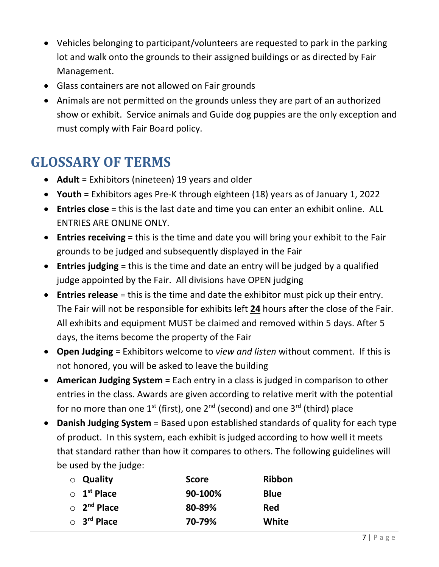- Vehicles belonging to participant/volunteers are requested to park in the parking lot and walk onto the grounds to their assigned buildings or as directed by Fair Management.
- Glass containers are not allowed on Fair grounds
- Animals are not permitted on the grounds unless they are part of an authorized show or exhibit. Service animals and Guide dog puppies are the only exception and must comply with Fair Board policy.

# **GLOSSARY OF TERMS**

- **Adult** = Exhibitors (nineteen) 19 years and older
- **Youth** = Exhibitors ages Pre-K through eighteen (18) years as of January 1, 2022
- **Entries close** = this is the last date and time you can enter an exhibit online. ALL ENTRIES ARE ONLINE ONLY.
- **Entries receiving** = this is the time and date you will bring your exhibit to the Fair grounds to be judged and subsequently displayed in the Fair
- **Entries judging** = this is the time and date an entry will be judged by a qualified judge appointed by the Fair. All divisions have OPEN judging
- **Entries release** = this is the time and date the exhibitor must pick up their entry. The Fair will not be responsible for exhibits left **24** hours after the close of the Fair. All exhibits and equipment MUST be claimed and removed within 5 days. After 5 days, the items become the property of the Fair
- **Open Judging** = Exhibitors welcome to *view and listen* without comment. If this is not honored, you will be asked to leave the building
- **American Judging System** = Each entry in a class is judged in comparison to other entries in the class. Awards are given according to relative merit with the potential for no more than one 1<sup>st</sup> (first), one 2<sup>nd</sup> (second) and one 3<sup>rd</sup> (third) place
- **Danish Judging System** = Based upon established standards of quality for each type of product. In this system, each exhibit is judged according to how well it meets that standard rather than how it compares to others. The following guidelines will be used by the judge:

| ○ Quality                     | <b>Score</b> | Ribbon       |
|-------------------------------|--------------|--------------|
| $\circ$ 1 <sup>st</sup> Place | 90-100%      | <b>Blue</b>  |
| $\circ$ 2 <sup>nd</sup> Place | 80-89%       | <b>Red</b>   |
| $\circ$ 3 <sup>rd</sup> Place | 70-79%       | <b>White</b> |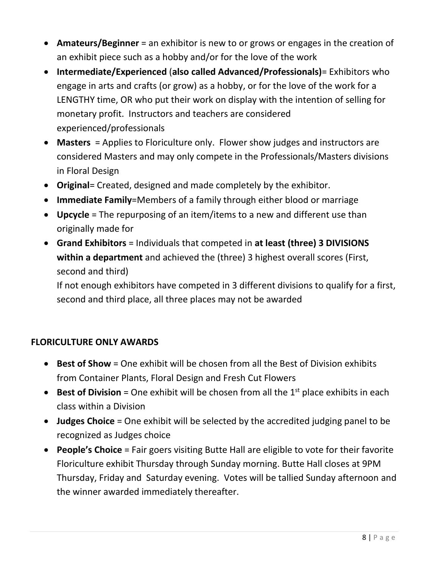- **Amateurs/Beginner** = an exhibitor is new to or grows or engages in the creation of an exhibit piece such as a hobby and/or for the love of the work
- **Intermediate/Experienced** (**also called Advanced/Professionals)**= Exhibitors who engage in arts and crafts (or grow) as a hobby, or for the love of the work for a LENGTHY time, OR who put their work on display with the intention of selling for monetary profit. Instructors and teachers are considered experienced/professionals
- **Masters** = Applies to Floriculture only. Flower show judges and instructors are considered Masters and may only compete in the Professionals/Masters divisions in Floral Design
- **Original**= Created, designed and made completely by the exhibitor.
- **Immediate Family**=Members of a family through either blood or marriage
- **Upcycle** = The repurposing of an item/items to a new and different use than originally made for
- **Grand Exhibitors** = Individuals that competed in **at least (three) 3 DIVISIONS within a department** and achieved the (three) 3 highest overall scores (First, second and third)

If not enough exhibitors have competed in 3 different divisions to qualify for a first, second and third place, all three places may not be awarded

### **FLORICULTURE ONLY AWARDS**

- **Best of Show** = One exhibit will be chosen from all the Best of Division exhibits from Container Plants, Floral Design and Fresh Cut Flowers
- **Best of Division** = One exhibit will be chosen from all the 1<sup>st</sup> place exhibits in each class within a Division
- **Judges Choice** = One exhibit will be selected by the accredited judging panel to be recognized as Judges choice
- **People's Choice** = Fair goers visiting Butte Hall are eligible to vote for their favorite Floriculture exhibit Thursday through Sunday morning. Butte Hall closes at 9PM Thursday, Friday and Saturday evening. Votes will be tallied Sunday afternoon and the winner awarded immediately thereafter.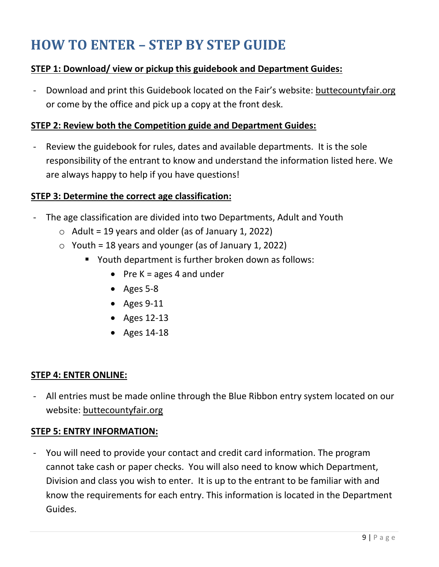# **HOW TO ENTER – STEP BY STEP GUIDE**

#### **STEP 1: Download/ view or pickup this guidebook and Department Guides:**

Download and print this Guidebook located on the Fair's website: buttecountyfair.org or come by the office and pick up a copy at the front desk.

#### **STEP 2: Review both the Competition guide and Department Guides:**

- Review the guidebook for rules, dates and available departments. It is the sole responsibility of the entrant to know and understand the information listed here. We are always happy to help if you have questions!

#### **STEP 3: Determine the correct age classification:**

- The age classification are divided into two Departments, Adult and Youth
	- $\circ$  Adult = 19 years and older (as of January 1, 2022)
	- $\circ$  Youth = 18 years and younger (as of January 1, 2022)
		- Youth department is further broken down as follows:
			- Pre  $K = \text{ages } 4$  and under
			- Ages 5-8
			- Ages 9-11
			- Ages 12-13
			- Ages 14-18

#### **STEP 4: ENTER ONLINE:**

- All entries must be made online through the Blue Ribbon entry system located on our website: buttecountyfair.org

#### **STEP 5: ENTRY INFORMATION:**

- You will need to provide your contact and credit card information. The program cannot take cash or paper checks. You will also need to know which Department, Division and class you wish to enter. It is up to the entrant to be familiar with and know the requirements for each entry. This information is located in the Department Guides.